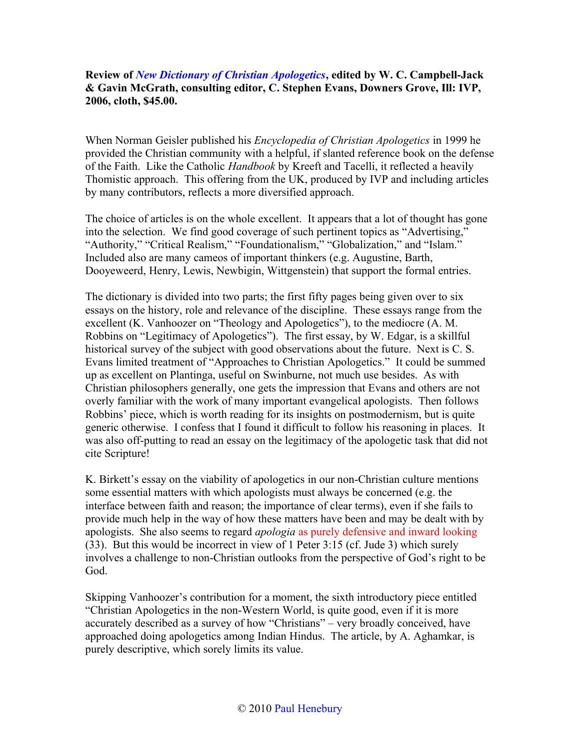## **Review of** *[New Dictionary of Christian Apologetics](http://www.bestbookdeal.com/book/compare/0830824510)***, edited by W. C. Campbell-Jack & Gavin McGrath, consulting editor, C. Stephen Evans, Downers Grove, Ill: IVP, 2006, cloth, \$45.00.**

When Norman Geisler published his *Encyclopedia of Christian Apologetics* in 1999 he provided the Christian community with a helpful, if slanted reference book on the defense of the Faith. Like the Catholic *Handbook* by Kreeft and Tacelli, it reflected a heavily Thomistic approach. This offering from the UK, produced by IVP and including articles by many contributors, reflects a more diversified approach.

The choice of articles is on the whole excellent. It appears that a lot of thought has gone into the selection. We find good coverage of such pertinent topics as "Advertising," "Authority," "Critical Realism," "Foundationalism," "Globalization," and "Islam." Included also are many cameos of important thinkers (e.g. Augustine, Barth, Dooyeweerd, Henry, Lewis, Newbigin, Wittgenstein) that support the formal entries.

The dictionary is divided into two parts; the first fifty pages being given over to six essays on the history, role and relevance of the discipline. These essays range from the excellent (K. Vanhoozer on "Theology and Apologetics"), to the mediocre (A. M. Robbins on "Legitimacy of Apologetics"). The first essay, by W. Edgar, is a skillful historical survey of the subject with good observations about the future. Next is C. S. Evans limited treatment of "Approaches to Christian Apologetics." It could be summed up as excellent on Plantinga, useful on Swinburne, not much use besides. As with Christian philosophers generally, one gets the impression that Evans and others are not overly familiar with the work of many important evangelical apologists. Then follows Robbins' piece, which is worth reading for its insights on postmodernism, but is quite generic otherwise. I confess that I found it difficult to follow his reasoning in places. It was also off-putting to read an essay on the legitimacy of the apologetic task that did not cite Scripture!

K. Birkett's essay on the viability of apologetics in our non-Christian culture mentions some essential matters with which apologists must always be concerned (e.g. the interface between faith and reason; the importance of clear terms), even if she fails to provide much help in the way of how these matters have been and may be dealt with by apologists. She also seems to regard *apologia* as purely defensive and inward looking (33). But this would be incorrect in view of 1 Peter 3:15 (cf. Jude 3) which surely involves a challenge to non-Christian outlooks from the perspective of God's right to be God.

Skipping Vanhoozer's contribution for a moment, the sixth introductory piece entitled "Christian Apologetics in the non-Western World, is quite good, even if it is more accurately described as a survey of how "Christians" – very broadly conceived, have approached doing apologetics among Indian Hindus. The article, by A. Aghamkar, is purely descriptive, which sorely limits its value.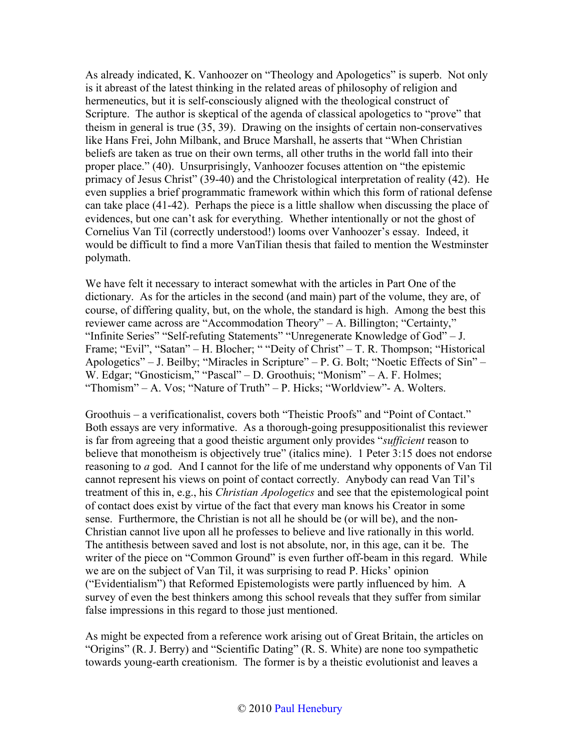As already indicated, K. Vanhoozer on "Theology and Apologetics" is superb. Not only is it abreast of the latest thinking in the related areas of philosophy of religion and hermeneutics, but it is self-consciously aligned with the theological construct of Scripture. The author is skeptical of the agenda of classical apologetics to "prove" that theism in general is true (35, 39). Drawing on the insights of certain non-conservatives like Hans Frei, John Milbank, and Bruce Marshall, he asserts that "When Christian beliefs are taken as true on their own terms, all other truths in the world fall into their proper place." (40). Unsurprisingly, Vanhoozer focuses attention on "the epistemic primacy of Jesus Christ" (39-40) and the Christological interpretation of reality (42). He even supplies a brief programmatic framework within which this form of rational defense can take place (41-42). Perhaps the piece is a little shallow when discussing the place of evidences, but one can't ask for everything. Whether intentionally or not the ghost of Cornelius Van Til (correctly understood!) looms over Vanhoozer's essay. Indeed, it would be difficult to find a more VanTilian thesis that failed to mention the Westminster polymath.

We have felt it necessary to interact somewhat with the articles in Part One of the dictionary. As for the articles in the second (and main) part of the volume, they are, of course, of differing quality, but, on the whole, the standard is high. Among the best this reviewer came across are "Accommodation Theory" – A. Billington; "Certainty," "Infinite Series" "Self-refuting Statements" "Unregenerate Knowledge of God" – J. Frame; "Evil", "Satan" – H. Blocher; " "Deity of Christ" – T. R. Thompson; "Historical Apologetics" – J. Beilby; "Miracles in Scripture" – P. G. Bolt; "Noetic Effects of Sin" – W. Edgar; "Gnosticism," "Pascal" – D. Groothuis; "Monism" – A. F. Holmes; "Thomism" – A. Vos; "Nature of Truth" – P. Hicks; "Worldview"- A. Wolters.

Groothuis – a verificationalist, covers both "Theistic Proofs" and "Point of Contact." Both essays are very informative. As a thorough-going presuppositionalist this reviewer is far from agreeing that a good theistic argument only provides "*sufficient* reason to believe that monotheism is objectively true" (italics mine). 1 Peter 3:15 does not endorse reasoning to *a* god. And I cannot for the life of me understand why opponents of Van Til cannot represent his views on point of contact correctly. Anybody can read Van Til's treatment of this in, e.g., his *Christian Apologetics* and see that the epistemological point of contact does exist by virtue of the fact that every man knows his Creator in some sense. Furthermore, the Christian is not all he should be (or will be), and the non-Christian cannot live upon all he professes to believe and live rationally in this world. The antithesis between saved and lost is not absolute, nor, in this age, can it be. The writer of the piece on "Common Ground" is even further off-beam in this regard. While we are on the subject of Van Til, it was surprising to read P. Hicks' opinion ("Evidentialism") that Reformed Epistemologists were partly influenced by him. A survey of even the best thinkers among this school reveals that they suffer from similar false impressions in this regard to those just mentioned.

As might be expected from a reference work arising out of Great Britain, the articles on "Origins" (R. J. Berry) and "Scientific Dating" (R. S. White) are none too sympathetic towards young-earth creationism. The former is by a theistic evolutionist and leaves a